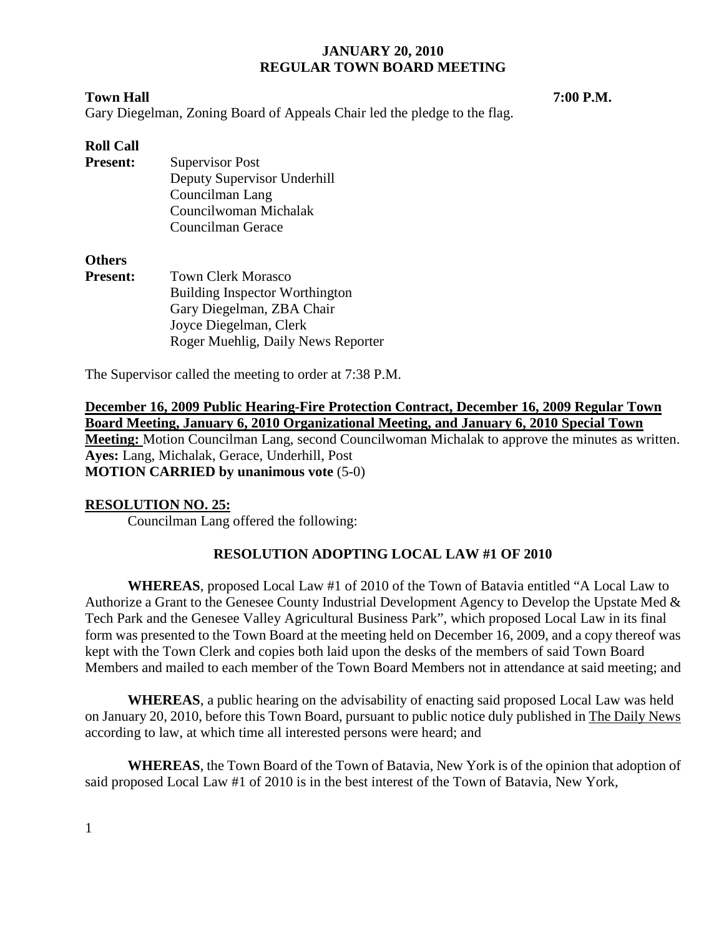#### **Town Hall 7:00 P.M.**

Gary Diegelman, Zoning Board of Appeals Chair led the pledge to the flag.

### **Roll Call**

**Present:** Supervisor Post Deputy Supervisor Underhill Councilman Lang Councilwoman Michalak Councilman Gerace

#### **Others**

**Present:** Town Clerk Morasco Building Inspector Worthington Gary Diegelman, ZBA Chair Joyce Diegelman, Clerk Roger Muehlig, Daily News Reporter

The Supervisor called the meeting to order at 7:38 P.M.

**December 16, 2009 Public Hearing-Fire Protection Contract, December 16, 2009 Regular Town Board Meeting, January 6, 2010 Organizational Meeting, and January 6, 2010 Special Town Meeting:** Motion Councilman Lang, second Councilwoman Michalak to approve the minutes as written. **Ayes:** Lang, Michalak, Gerace, Underhill, Post **MOTION CARRIED by unanimous vote** (5-0)

### **RESOLUTION NO. 25:**

Councilman Lang offered the following:

### **RESOLUTION ADOPTING LOCAL LAW #1 OF 2010**

**WHEREAS**, proposed Local Law #1 of 2010 of the Town of Batavia entitled "A Local Law to Authorize a Grant to the Genesee County Industrial Development Agency to Develop the Upstate Med & Tech Park and the Genesee Valley Agricultural Business Park", which proposed Local Law in its final form was presented to the Town Board at the meeting held on December 16, 2009, and a copy thereof was kept with the Town Clerk and copies both laid upon the desks of the members of said Town Board Members and mailed to each member of the Town Board Members not in attendance at said meeting; and

**WHEREAS**, a public hearing on the advisability of enacting said proposed Local Law was held on January 20, 2010, before this Town Board, pursuant to public notice duly published in The Daily News according to law, at which time all interested persons were heard; and

**WHEREAS**, the Town Board of the Town of Batavia, New York is of the opinion that adoption of said proposed Local Law #1 of 2010 is in the best interest of the Town of Batavia, New York,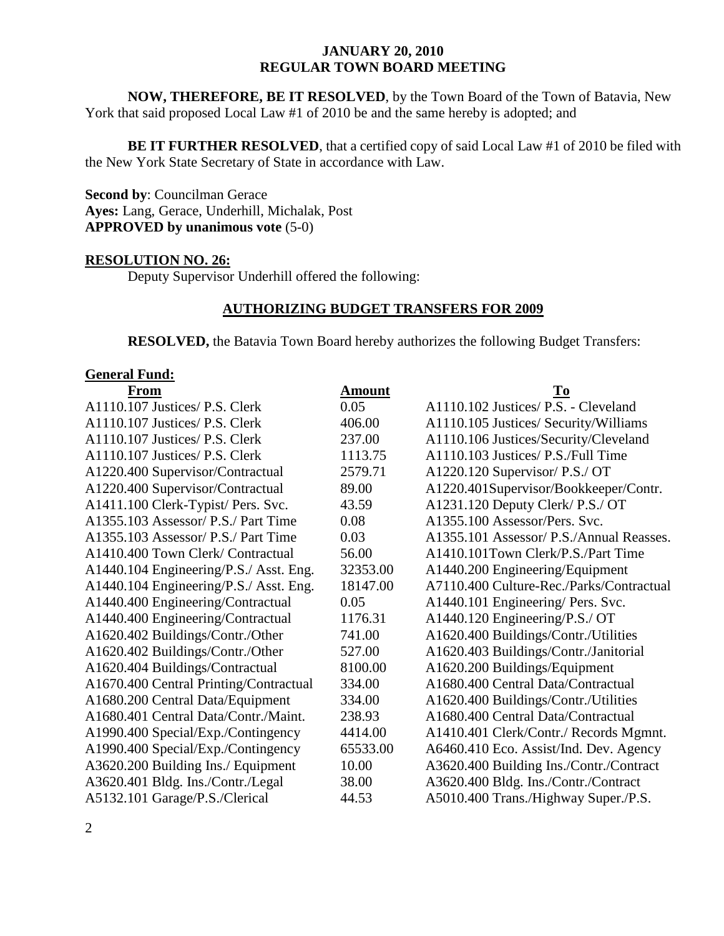**NOW, THEREFORE, BE IT RESOLVED**, by the Town Board of the Town of Batavia, New York that said proposed Local Law #1 of 2010 be and the same hereby is adopted; and

**BE IT FURTHER RESOLVED**, that a certified copy of said Local Law #1 of 2010 be filed with the New York State Secretary of State in accordance with Law.

**Second by**: Councilman Gerace **Ayes:** Lang, Gerace, Underhill, Michalak, Post **APPROVED by unanimous vote** (5-0)

### **RESOLUTION NO. 26:**

Deputy Supervisor Underhill offered the following:

#### **AUTHORIZING BUDGET TRANSFERS FOR 2009**

 **RESOLVED,** the Batavia Town Board hereby authorizes the following Budget Transfers:

#### **General Fund:**

| From                                   | <b>Amount</b> | $\underline{\mathbf{To}}$                |
|----------------------------------------|---------------|------------------------------------------|
| A1110.107 Justices/ P.S. Clerk         | 0.05          | A1110.102 Justices/ P.S. - Cleveland     |
| A1110.107 Justices/ P.S. Clerk         | 406.00        | A1110.105 Justices/ Security/Williams    |
| A1110.107 Justices/ P.S. Clerk         | 237.00        | A1110.106 Justices/Security/Cleveland    |
| A1110.107 Justices/ P.S. Clerk         | 1113.75       | A1110.103 Justices/ P.S./Full Time       |
| A1220.400 Supervisor/Contractual       | 2579.71       | A1220.120 Supervisor/ P.S./ OT           |
| A1220.400 Supervisor/Contractual       | 89.00         | A1220.401Supervisor/Bookkeeper/Contr.    |
| A1411.100 Clerk-Typist/ Pers. Svc.     | 43.59         | A1231.120 Deputy Clerk/ P.S./ OT         |
| A1355.103 Assessor/ P.S./ Part Time    | 0.08          | A1355.100 Assessor/Pers. Svc.            |
| A1355.103 Assessor/ P.S./ Part Time    | 0.03          | A1355.101 Assessor/ P.S./Annual Reasses. |
| A1410.400 Town Clerk/ Contractual      | 56.00         | A1410.101Town Clerk/P.S./Part Time       |
| A1440.104 Engineering/P.S./ Asst. Eng. | 32353.00      | A1440.200 Engineering/Equipment          |
| A1440.104 Engineering/P.S./ Asst. Eng. | 18147.00      | A7110.400 Culture-Rec./Parks/Contractual |
| A1440.400 Engineering/Contractual      | 0.05          | A1440.101 Engineering/ Pers. Svc.        |
| A1440.400 Engineering/Contractual      | 1176.31       | A1440.120 Engineering/P.S./ OT           |
| A1620.402 Buildings/Contr./Other       | 741.00        | A1620.400 Buildings/Contr./Utilities     |
| A1620.402 Buildings/Contr./Other       | 527.00        | A1620.403 Buildings/Contr./Janitorial    |
| A1620.404 Buildings/Contractual        | 8100.00       | A1620.200 Buildings/Equipment            |
| A1670.400 Central Printing/Contractual | 334.00        | A1680.400 Central Data/Contractual       |
| A1680.200 Central Data/Equipment       | 334.00        | A1620.400 Buildings/Contr./Utilities     |
| A1680.401 Central Data/Contr./Maint.   | 238.93        | A1680.400 Central Data/Contractual       |
| A1990.400 Special/Exp./Contingency     | 4414.00       | A1410.401 Clerk/Contr./ Records Mgmnt.   |
| A1990.400 Special/Exp./Contingency     | 65533.00      | A6460.410 Eco. Assist/Ind. Dev. Agency   |
| A3620.200 Building Ins./ Equipment     | 10.00         | A3620.400 Building Ins./Contr./Contract  |
| A3620.401 Bldg. Ins./Contr./Legal      | 38.00         | A3620.400 Bldg. Ins./Contr./Contract     |
| A5132.101 Garage/P.S./Clerical         | 44.53         | A5010.400 Trans./Highway Super./P.S.     |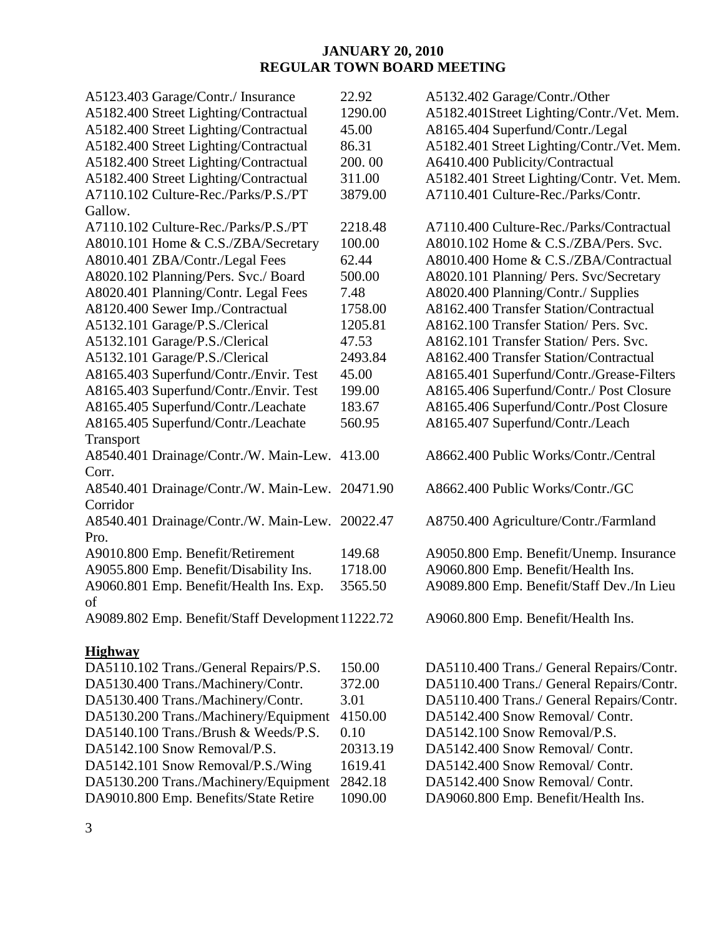| A5123.403 Garage/Contr./ Insurance                | 22.92    | A5132.402 Garage/Contr./Other              |
|---------------------------------------------------|----------|--------------------------------------------|
| A5182.400 Street Lighting/Contractual             | 1290.00  | A5182.401Street Lighting/Contr./Vet. Mem.  |
| A5182.400 Street Lighting/Contractual             | 45.00    | A8165.404 Superfund/Contr./Legal           |
| A5182.400 Street Lighting/Contractual             | 86.31    | A5182.401 Street Lighting/Contr./Vet. Mem. |
| A5182.400 Street Lighting/Contractual             | 200.00   | A6410.400 Publicity/Contractual            |
| A5182.400 Street Lighting/Contractual             | 311.00   | A5182.401 Street Lighting/Contr. Vet. Mem. |
| A7110.102 Culture-Rec./Parks/P.S./PT              | 3879.00  | A7110.401 Culture-Rec./Parks/Contr.        |
| Gallow.                                           |          |                                            |
| A7110.102 Culture-Rec./Parks/P.S./PT              | 2218.48  | A7110.400 Culture-Rec./Parks/Contractual   |
| A8010.101 Home & C.S./ZBA/Secretary               | 100.00   | A8010.102 Home & C.S./ZBA/Pers. Svc.       |
| A8010.401 ZBA/Contr./Legal Fees                   | 62.44    | A8010.400 Home & C.S./ZBA/Contractual      |
| A8020.102 Planning/Pers. Svc./ Board              | 500.00   | A8020.101 Planning/ Pers. Svc/Secretary    |
| A8020.401 Planning/Contr. Legal Fees              | 7.48     | A8020.400 Planning/Contr./ Supplies        |
| A8120.400 Sewer Imp./Contractual                  | 1758.00  | A8162.400 Transfer Station/Contractual     |
| A5132.101 Garage/P.S./Clerical                    | 1205.81  | A8162.100 Transfer Station/Pers. Svc.      |
| A5132.101 Garage/P.S./Clerical                    | 47.53    | A8162.101 Transfer Station/ Pers. Svc.     |
| A5132.101 Garage/P.S./Clerical                    | 2493.84  | A8162.400 Transfer Station/Contractual     |
| A8165.403 Superfund/Contr./Envir. Test            | 45.00    | A8165.401 Superfund/Contr./Grease-Filters  |
| A8165.403 Superfund/Contr./Envir. Test            | 199.00   | A8165.406 Superfund/Contr./ Post Closure   |
| A8165.405 Superfund/Contr./Leachate               | 183.67   | A8165.406 Superfund/Contr./Post Closure    |
| A8165.405 Superfund/Contr./Leachate               | 560.95   | A8165.407 Superfund/Contr./Leach           |
| Transport                                         |          |                                            |
| A8540.401 Drainage/Contr./W. Main-Lew. 413.00     |          | A8662.400 Public Works/Contr./Central      |
| Corr.                                             |          |                                            |
| A8540.401 Drainage/Contr./W. Main-Lew. 20471.90   |          | A8662.400 Public Works/Contr./GC           |
| Corridor                                          |          |                                            |
| A8540.401 Drainage/Contr./W. Main-Lew. 20022.47   |          | A8750.400 Agriculture/Contr./Farmland      |
| Pro.                                              |          |                                            |
| A9010.800 Emp. Benefit/Retirement                 | 149.68   | A9050.800 Emp. Benefit/Unemp. Insurance    |
| A9055.800 Emp. Benefit/Disability Ins.            | 1718.00  | A9060.800 Emp. Benefit/Health Ins.         |
| A9060.801 Emp. Benefit/Health Ins. Exp.           | 3565.50  | A9089.800 Emp. Benefit/Staff Dev./In Lieu  |
| of                                                |          |                                            |
| A9089.802 Emp. Benefit/Staff Development 11222.72 |          | A9060.800 Emp. Benefit/Health Ins.         |
|                                                   |          |                                            |
| <b>Highway</b>                                    |          |                                            |
| DA5110.102 Trans./General Repairs/P.S.            | 150.00   | DA5110.400 Trans./ General Repairs/Contr.  |
| DA5130.400 Trans./Machinery/Contr.                | 372.00   | DA5110.400 Trans./ General Repairs/Contr.  |
| DA5130.400 Trans./Machinery/Contr.                | 3.01     | DA5110.400 Trans./ General Repairs/Contr.  |
| DA5130.200 Trans./Machinery/Equipment             | 4150.00  | DA5142.400 Snow Removal/ Contr.            |
| DA5140.100 Trans./Brush & Weeds/P.S.              | 0.10     | DA5142.100 Snow Removal/P.S.               |
| DA5142.100 Snow Removal/P.S.                      | 20313.19 | DA5142.400 Snow Removal/ Contr.            |
| DA5142.101 Snow Removal/P.S./Wing                 | 1619.41  | DA5142.400 Snow Removal/ Contr.            |
| DA5130.200 Trans./Machinery/Equipment             | 2842.18  | DA5142.400 Snow Removal/ Contr.            |
| DA9010.800 Emp. Benefits/State Retire             | 1090.00  | DA9060.800 Emp. Benefit/Health Ins.        |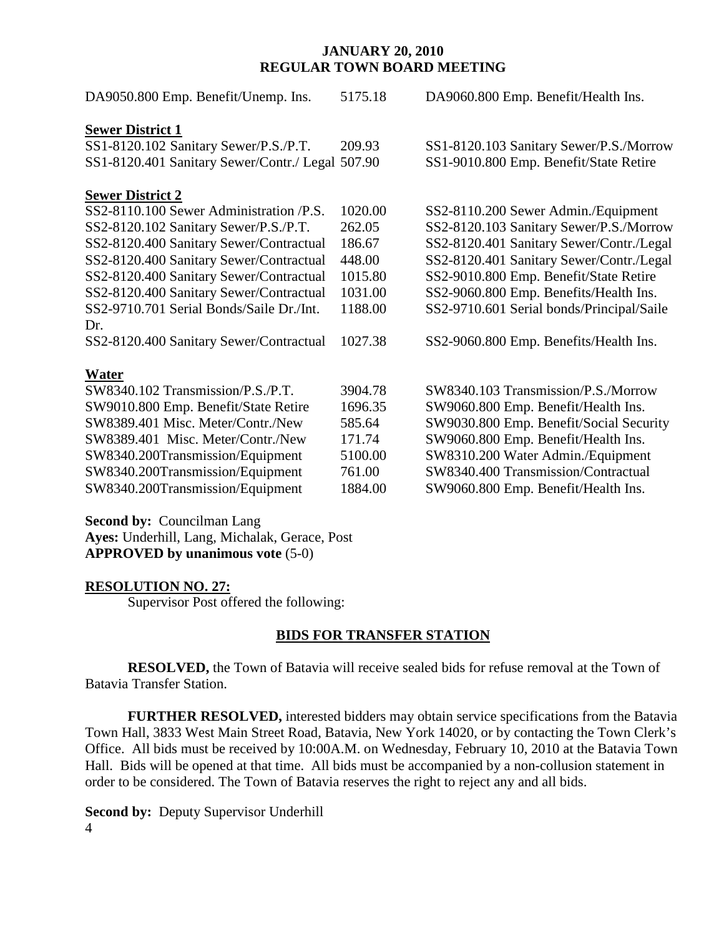| DA9050.800 Emp. Benefit/Unemp. Ins.              | 5175.18 | DA9060.800 Emp. Benefit/Health Ins.       |
|--------------------------------------------------|---------|-------------------------------------------|
| <b>Sewer District 1</b>                          |         |                                           |
| SS1-8120.102 Sanitary Sewer/P.S./P.T.            | 209.93  | SS1-8120.103 Sanitary Sewer/P.S./Morrow   |
| SS1-8120.401 Sanitary Sewer/Contr./ Legal 507.90 |         | SS1-9010.800 Emp. Benefit/State Retire    |
| <b>Sewer District 2</b>                          |         |                                           |
| SS2-8110.100 Sewer Administration /P.S.          | 1020.00 | SS2-8110.200 Sewer Admin./Equipment       |
| SS2-8120.102 Sanitary Sewer/P.S./P.T.            | 262.05  | SS2-8120.103 Sanitary Sewer/P.S./Morrow   |
| SS2-8120.400 Sanitary Sewer/Contractual          | 186.67  | SS2-8120.401 Sanitary Sewer/Contr./Legal  |
| SS2-8120.400 Sanitary Sewer/Contractual          | 448.00  | SS2-8120.401 Sanitary Sewer/Contr./Legal  |
| SS2-8120.400 Sanitary Sewer/Contractual          | 1015.80 | SS2-9010.800 Emp. Benefit/State Retire    |
| SS2-8120.400 Sanitary Sewer/Contractual          | 1031.00 | SS2-9060.800 Emp. Benefits/Health Ins.    |
| SS2-9710.701 Serial Bonds/Saile Dr./Int.         | 1188.00 | SS2-9710.601 Serial bonds/Principal/Saile |
| Dr.                                              |         |                                           |
| SS2-8120.400 Sanitary Sewer/Contractual          | 1027.38 | SS2-9060.800 Emp. Benefits/Health Ins.    |
| <b>Water</b>                                     |         |                                           |
| SW8340.102 Transmission/P.S./P.T.                | 3904.78 | SW8340.103 Transmission/P.S./Morrow       |
| SW9010.800 Emp. Benefit/State Retire             | 1696.35 | SW9060.800 Emp. Benefit/Health Ins.       |
| SW8389.401 Misc. Meter/Contr./New                | 585.64  | SW9030.800 Emp. Benefit/Social Security   |
| SW8389.401 Misc. Meter/Contr./New                | 171.74  | SW9060.800 Emp. Benefit/Health Ins.       |
| SW8340.200Transmission/Equipment                 | 5100.00 | SW8310.200 Water Admin./Equipment         |
| SW8340.200Transmission/Equipment                 | 761.00  | SW8340.400 Transmission/Contractual       |
| SW8340.200Transmission/Equipment                 | 1884.00 | SW9060.800 Emp. Benefit/Health Ins.       |

**Second by: Councilman Lang** 

**Ayes:** Underhill, Lang, Michalak, Gerace, Post **APPROVED by unanimous vote** (5-0)

### **RESOLUTION NO. 27:**

Supervisor Post offered the following:

### **BIDS FOR TRANSFER STATION**

 **RESOLVED,** the Town of Batavia will receive sealed bids for refuse removal at the Town of Batavia Transfer Station.

**FURTHER RESOLVED,** interested bidders may obtain service specifications from the Batavia Town Hall, 3833 West Main Street Road, Batavia, New York 14020, or by contacting the Town Clerk's Office. All bids must be received by 10:00A.M. on Wednesday, February 10, 2010 at the Batavia Town Hall. Bids will be opened at that time. All bids must be accompanied by a non-collusion statement in order to be considered. The Town of Batavia reserves the right to reject any and all bids.

4 **Second by:** Deputy Supervisor Underhill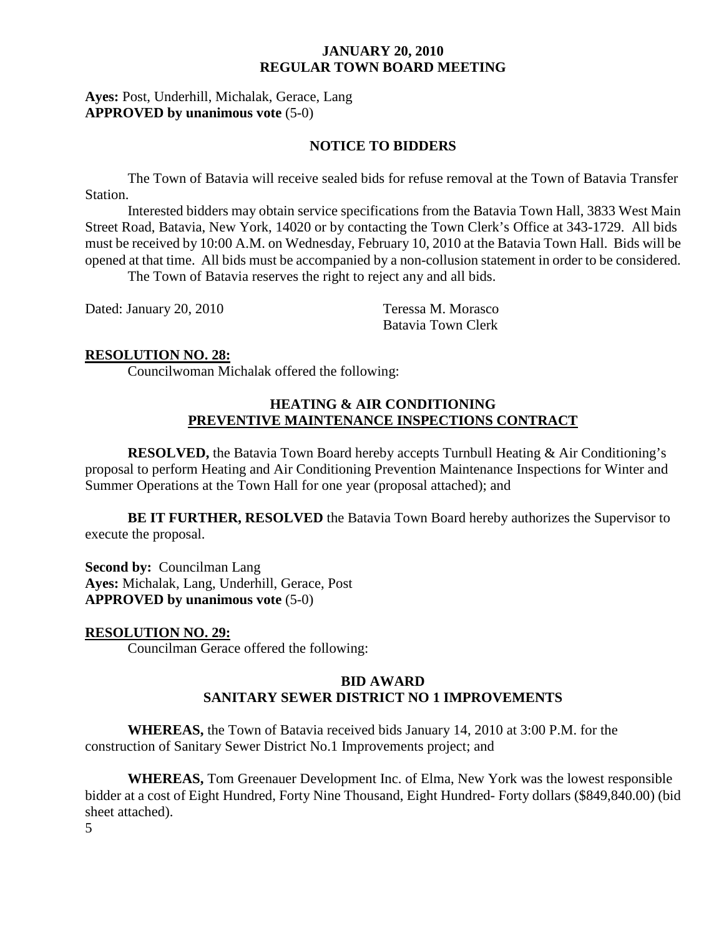### **Ayes:** Post, Underhill, Michalak, Gerace, Lang **APPROVED by unanimous vote** (5-0)

#### **NOTICE TO BIDDERS**

The Town of Batavia will receive sealed bids for refuse removal at the Town of Batavia Transfer Station.

 Interested bidders may obtain service specifications from the Batavia Town Hall, 3833 West Main Street Road, Batavia, New York, 14020 or by contacting the Town Clerk's Office at 343-1729. All bids must be received by 10:00 A.M. on Wednesday, February 10, 2010 at the Batavia Town Hall. Bids will be opened at that time. All bids must be accompanied by a non-collusion statement in order to be considered. The Town of Batavia reserves the right to reject any and all bids.

Dated: January 20, 2010 Teressa M. Morasco

Batavia Town Clerk

#### **RESOLUTION NO. 28:**

Councilwoman Michalak offered the following:

## **HEATING & AIR CONDITIONING PREVENTIVE MAINTENANCE INSPECTIONS CONTRACT**

**RESOLVED,** the Batavia Town Board hereby accepts Turnbull Heating & Air Conditioning's proposal to perform Heating and Air Conditioning Prevention Maintenance Inspections for Winter and Summer Operations at the Town Hall for one year (proposal attached); and

**BE IT FURTHER, RESOLVED** the Batavia Town Board hereby authorizes the Supervisor to execute the proposal.

**Second by: Councilman Lang Ayes:** Michalak, Lang, Underhill, Gerace, Post **APPROVED by unanimous vote** (5-0)

**RESOLUTION NO. 29:** Councilman Gerace offered the following:

### **BID AWARD SANITARY SEWER DISTRICT NO 1 IMPROVEMENTS**

**WHEREAS,** the Town of Batavia received bids January 14, 2010 at 3:00 P.M. for the construction of Sanitary Sewer District No.1 Improvements project; and

**WHEREAS,** Tom Greenauer Development Inc. of Elma, New York was the lowest responsible bidder at a cost of Eight Hundred, Forty Nine Thousand, Eight Hundred- Forty dollars (\$849,840.00) (bid sheet attached).

5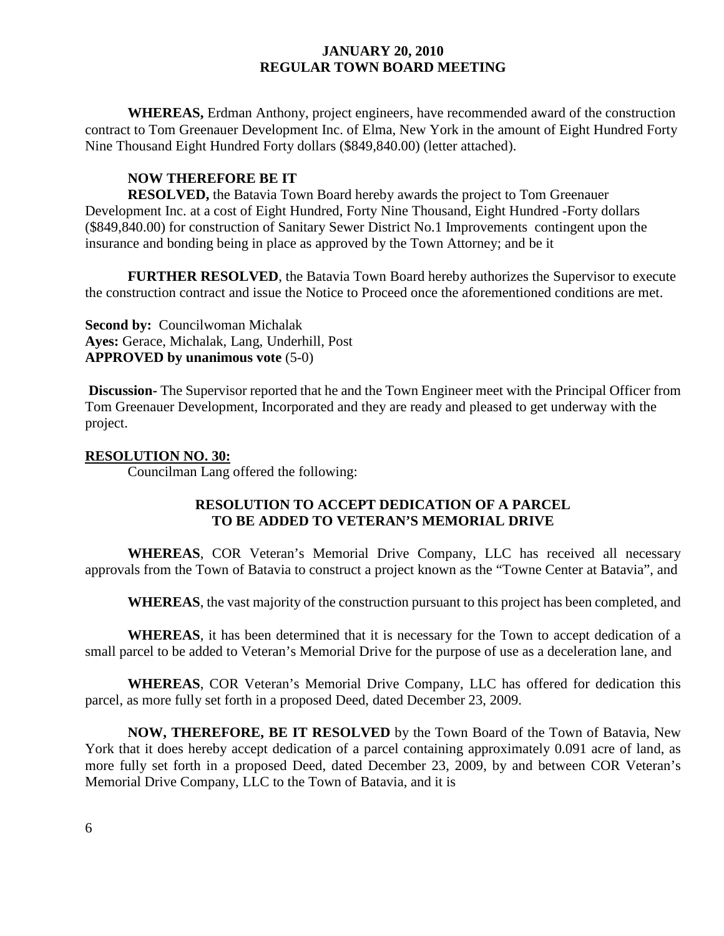**WHEREAS,** Erdman Anthony, project engineers, have recommended award of the construction contract to Tom Greenauer Development Inc. of Elma, New York in the amount of Eight Hundred Forty Nine Thousand Eight Hundred Forty dollars (\$849,840.00) (letter attached).

# **NOW THEREFORE BE IT**

**RESOLVED,** the Batavia Town Board hereby awards the project to Tom Greenauer Development Inc. at a cost of Eight Hundred, Forty Nine Thousand, Eight Hundred -Forty dollars (\$849,840.00) for construction of Sanitary Sewer District No.1 Improvements contingent upon the insurance and bonding being in place as approved by the Town Attorney; and be it

**FURTHER RESOLVED**, the Batavia Town Board hereby authorizes the Supervisor to execute the construction contract and issue the Notice to Proceed once the aforementioned conditions are met.

**Second by:** Councilwoman Michalak **Ayes:** Gerace, Michalak, Lang, Underhill, Post **APPROVED by unanimous vote** (5-0)

 **Discussion-** The Supervisor reported that he and the Town Engineer meet with the Principal Officer from Tom Greenauer Development, Incorporated and they are ready and pleased to get underway with the project.

### **RESOLUTION NO. 30:**

Councilman Lang offered the following:

## **RESOLUTION TO ACCEPT DEDICATION OF A PARCEL TO BE ADDED TO VETERAN'S MEMORIAL DRIVE**

**WHEREAS**, COR Veteran's Memorial Drive Company, LLC has received all necessary approvals from the Town of Batavia to construct a project known as the "Towne Center at Batavia", and

**WHEREAS**, the vast majority of the construction pursuant to this project has been completed, and

**WHEREAS**, it has been determined that it is necessary for the Town to accept dedication of a small parcel to be added to Veteran's Memorial Drive for the purpose of use as a deceleration lane, and

**WHEREAS**, COR Veteran's Memorial Drive Company, LLC has offered for dedication this parcel, as more fully set forth in a proposed Deed, dated December 23, 2009.

**NOW, THEREFORE, BE IT RESOLVED** by the Town Board of the Town of Batavia, New York that it does hereby accept dedication of a parcel containing approximately 0.091 acre of land, as more fully set forth in a proposed Deed, dated December 23, 2009, by and between COR Veteran's Memorial Drive Company, LLC to the Town of Batavia, and it is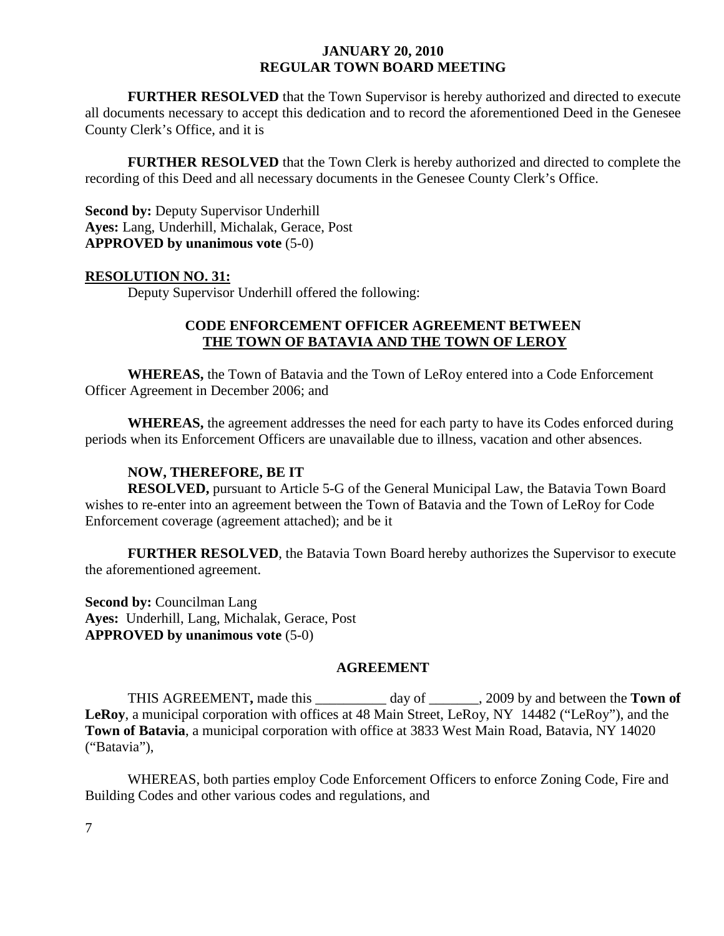**FURTHER RESOLVED** that the Town Supervisor is hereby authorized and directed to execute all documents necessary to accept this dedication and to record the aforementioned Deed in the Genesee County Clerk's Office, and it is

**FURTHER RESOLVED** that the Town Clerk is hereby authorized and directed to complete the recording of this Deed and all necessary documents in the Genesee County Clerk's Office.

**Second by:** Deputy Supervisor Underhill **Ayes:** Lang, Underhill, Michalak, Gerace, Post **APPROVED by unanimous vote** (5-0)

#### **RESOLUTION NO. 31:**

Deputy Supervisor Underhill offered the following:

## **CODE ENFORCEMENT OFFICER AGREEMENT BETWEEN THE TOWN OF BATAVIA AND THE TOWN OF LEROY**

**WHEREAS,** the Town of Batavia and the Town of LeRoy entered into a Code Enforcement Officer Agreement in December 2006; and

**WHEREAS,** the agreement addresses the need for each party to have its Codes enforced during periods when its Enforcement Officers are unavailable due to illness, vacation and other absences.

### **NOW, THEREFORE, BE IT**

 **RESOLVED,** pursuant to Article 5-G of the General Municipal Law, the Batavia Town Board wishes to re-enter into an agreement between the Town of Batavia and the Town of LeRoy for Code Enforcement coverage (agreement attached); and be it

**FURTHER RESOLVED**, the Batavia Town Board hereby authorizes the Supervisor to execute the aforementioned agreement.

**Second by:** Councilman Lang **Ayes:** Underhill, Lang, Michalak, Gerace, Post **APPROVED by unanimous vote** (5-0)

#### **AGREEMENT**

THIS AGREEMENT**,** made this \_\_\_\_\_\_\_\_\_\_ day of \_\_\_\_\_\_\_, 2009 by and between the **Town of LeRoy**, a municipal corporation with offices at 48 Main Street, LeRoy, NY 14482 ("LeRoy"), and the **Town of Batavia**, a municipal corporation with office at 3833 West Main Road, Batavia, NY 14020 ("Batavia"),

 WHEREAS, both parties employ Code Enforcement Officers to enforce Zoning Code, Fire and Building Codes and other various codes and regulations, and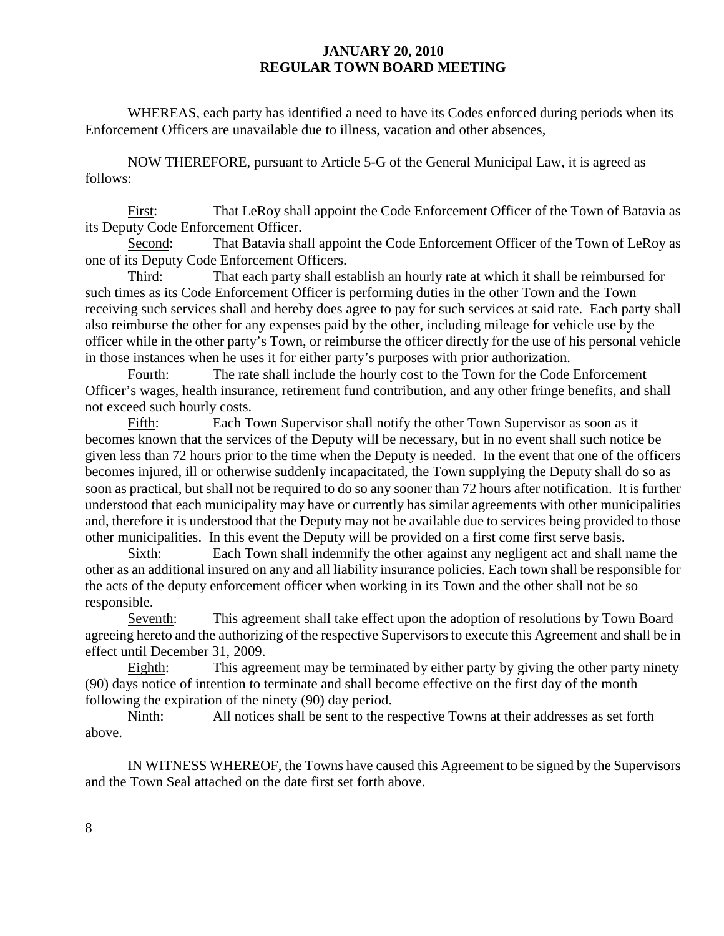WHEREAS, each party has identified a need to have its Codes enforced during periods when its Enforcement Officers are unavailable due to illness, vacation and other absences,

 NOW THEREFORE, pursuant to Article 5-G of the General Municipal Law, it is agreed as follows:

 First: That LeRoy shall appoint the Code Enforcement Officer of the Town of Batavia as its Deputy Code Enforcement Officer.

 Second: That Batavia shall appoint the Code Enforcement Officer of the Town of LeRoy as one of its Deputy Code Enforcement Officers.

 Third: That each party shall establish an hourly rate at which it shall be reimbursed for such times as its Code Enforcement Officer is performing duties in the other Town and the Town receiving such services shall and hereby does agree to pay for such services at said rate. Each party shall also reimburse the other for any expenses paid by the other, including mileage for vehicle use by the officer while in the other party's Town, or reimburse the officer directly for the use of his personal vehicle in those instances when he uses it for either party's purposes with prior authorization.

 Fourth: The rate shall include the hourly cost to the Town for the Code Enforcement Officer's wages, health insurance, retirement fund contribution, and any other fringe benefits, and shall not exceed such hourly costs.

 Fifth: Each Town Supervisor shall notify the other Town Supervisor as soon as it becomes known that the services of the Deputy will be necessary, but in no event shall such notice be given less than 72 hours prior to the time when the Deputy is needed. In the event that one of the officers becomes injured, ill or otherwise suddenly incapacitated, the Town supplying the Deputy shall do so as soon as practical, but shall not be required to do so any sooner than 72 hours after notification. It is further understood that each municipality may have or currently has similar agreements with other municipalities and, therefore it is understood that the Deputy may not be available due to services being provided to those other municipalities. In this event the Deputy will be provided on a first come first serve basis.

 Sixth: Each Town shall indemnify the other against any negligent act and shall name the other as an additional insured on any and all liability insurance policies. Each town shall be responsible for the acts of the deputy enforcement officer when working in its Town and the other shall not be so responsible.

 Seventh: This agreement shall take effect upon the adoption of resolutions by Town Board agreeing hereto and the authorizing of the respective Supervisors to execute this Agreement and shall be in effect until December 31, 2009.

 Eighth: This agreement may be terminated by either party by giving the other party ninety (90) days notice of intention to terminate and shall become effective on the first day of the month following the expiration of the ninety (90) day period.

 Ninth: All notices shall be sent to the respective Towns at their addresses as set forth above.

 IN WITNESS WHEREOF, the Towns have caused this Agreement to be signed by the Supervisors and the Town Seal attached on the date first set forth above.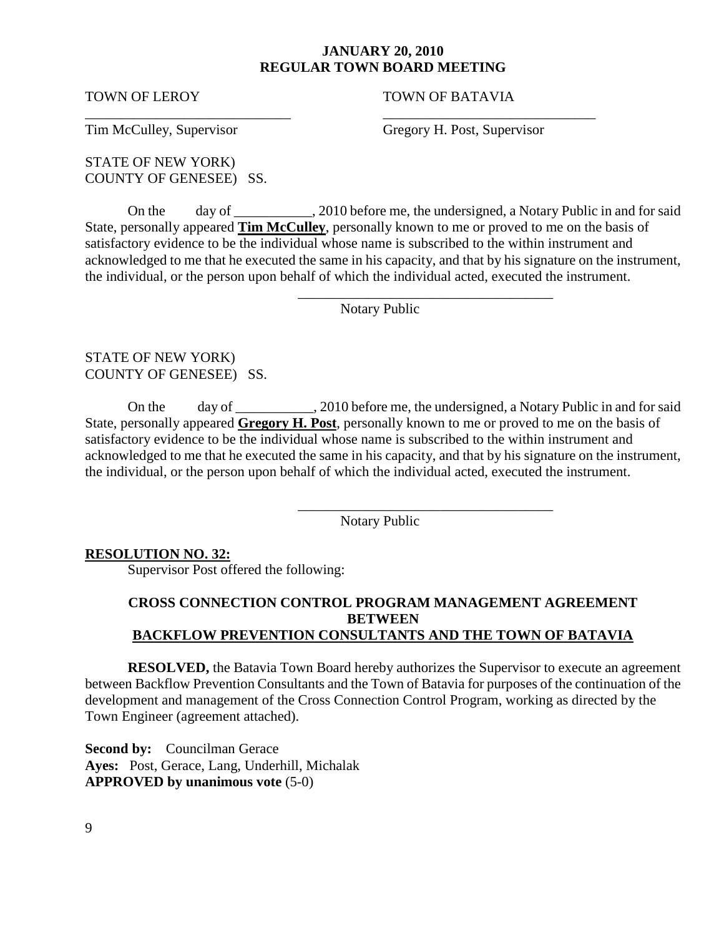\_\_\_\_\_\_\_\_\_\_\_\_\_\_\_\_\_\_\_\_\_\_\_\_\_\_\_\_\_ \_\_\_\_\_\_\_\_\_\_\_\_\_\_\_\_\_\_\_\_\_\_\_\_\_\_\_\_\_\_

 $\overline{\phantom{a}}$  , and the contract of the contract of the contract of the contract of the contract of the contract of the contract of the contract of the contract of the contract of the contract of the contract of the contrac

 $\overline{\phantom{a}}$  ,  $\overline{\phantom{a}}$  ,  $\overline{\phantom{a}}$  ,  $\overline{\phantom{a}}$  ,  $\overline{\phantom{a}}$  ,  $\overline{\phantom{a}}$  ,  $\overline{\phantom{a}}$  ,  $\overline{\phantom{a}}$  ,  $\overline{\phantom{a}}$  ,  $\overline{\phantom{a}}$  ,  $\overline{\phantom{a}}$  ,  $\overline{\phantom{a}}$  ,  $\overline{\phantom{a}}$  ,  $\overline{\phantom{a}}$  ,  $\overline{\phantom{a}}$  ,  $\overline{\phantom{a}}$ 

TOWN OF LEROY TOWN OF BATAVIA

Tim McCulley, Supervisor Gregory H. Post, Supervisor

STATE OF NEW YORK) COUNTY OF GENESEE) SS.

On the day of \_\_\_\_\_\_\_\_\_\_\_, 2010 before me, the undersigned, a Notary Public in and for said State, personally appeared **Tim McCulley**, personally known to me or proved to me on the basis of satisfactory evidence to be the individual whose name is subscribed to the within instrument and acknowledged to me that he executed the same in his capacity, and that by his signature on the instrument, the individual, or the person upon behalf of which the individual acted, executed the instrument.

Notary Public

STATE OF NEW YORK) COUNTY OF GENESEE) SS.

On the day of \_\_\_\_\_\_\_\_\_\_\_, 2010 before me, the undersigned, a Notary Public in and for said State, personally appeared **Gregory H. Post**, personally known to me or proved to me on the basis of satisfactory evidence to be the individual whose name is subscribed to the within instrument and acknowledged to me that he executed the same in his capacity, and that by his signature on the instrument, the individual, or the person upon behalf of which the individual acted, executed the instrument.

Notary Public

## **RESOLUTION NO. 32:**

Supervisor Post offered the following:

# **CROSS CONNECTION CONTROL PROGRAM MANAGEMENT AGREEMENT BETWEEN BACKFLOW PREVENTION CONSULTANTS AND THE TOWN OF BATAVIA**

**RESOLVED,** the Batavia Town Board hereby authorizes the Supervisor to execute an agreement between Backflow Prevention Consultants and the Town of Batavia for purposes of the continuation of the development and management of the Cross Connection Control Program, working as directed by the Town Engineer (agreement attached).

**Second by:** Councilman Gerace **Ayes:** Post, Gerace, Lang, Underhill, Michalak **APPROVED by unanimous vote** (5-0)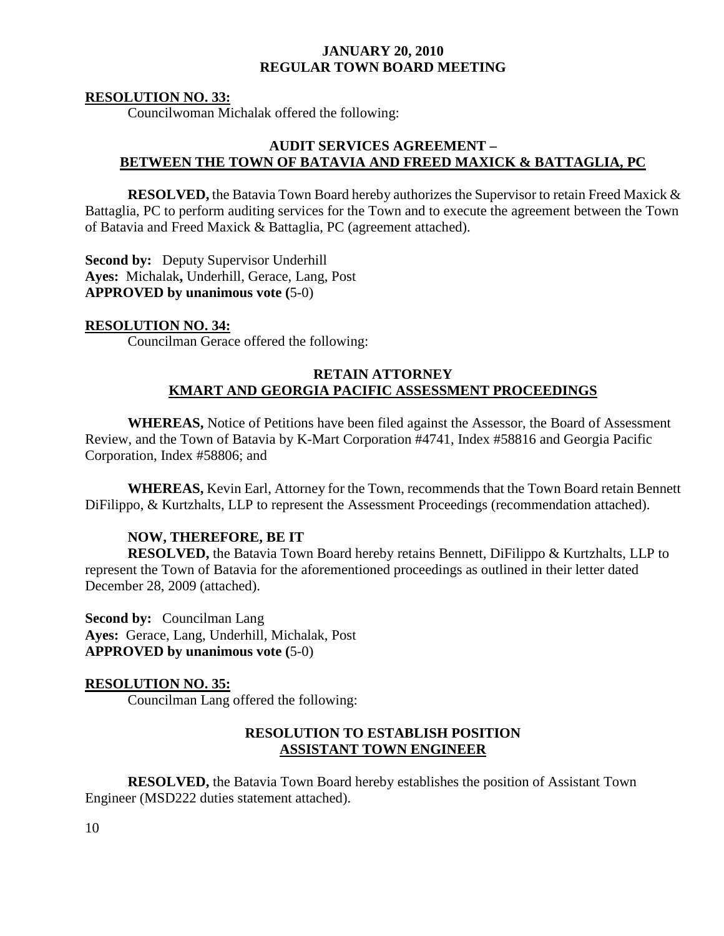#### **RESOLUTION NO. 33:**

Councilwoman Michalak offered the following:

## **AUDIT SERVICES AGREEMENT – BETWEEN THE TOWN OF BATAVIA AND FREED MAXICK & BATTAGLIA, PC**

**RESOLVED,** the Batavia Town Board hereby authorizes the Supervisor to retain Freed Maxick & Battaglia, PC to perform auditing services for the Town and to execute the agreement between the Town of Batavia and Freed Maxick & Battaglia, PC (agreement attached).

**Second by:** Deputy Supervisor Underhill **Ayes:** Michalak**,** Underhill, Gerace, Lang, Post **APPROVED by unanimous vote (**5-0)

#### **RESOLUTION NO. 34:**

Councilman Gerace offered the following:

#### **RETAIN ATTORNEY KMART AND GEORGIA PACIFIC ASSESSMENT PROCEEDINGS**

**WHEREAS,** Notice of Petitions have been filed against the Assessor, the Board of Assessment Review, and the Town of Batavia by K-Mart Corporation #4741, Index #58816 and Georgia Pacific Corporation, Index #58806; and

**WHEREAS,** Kevin Earl, Attorney for the Town, recommends that the Town Board retain Bennett DiFilippo, & Kurtzhalts, LLP to represent the Assessment Proceedings (recommendation attached).

#### **NOW, THEREFORE, BE IT**

**RESOLVED,** the Batavia Town Board hereby retains Bennett, DiFilippo & Kurtzhalts, LLP to represent the Town of Batavia for the aforementioned proceedings as outlined in their letter dated December 28, 2009 (attached).

**Second by:** Councilman Lang **Ayes:** Gerace, Lang, Underhill, Michalak, Post **APPROVED by unanimous vote (**5-0)

### **RESOLUTION NO. 35:**

Councilman Lang offered the following:

### **RESOLUTION TO ESTABLISH POSITION ASSISTANT TOWN ENGINEER**

 **RESOLVED,** the Batavia Town Board hereby establishes the position of Assistant Town Engineer (MSD222 duties statement attached).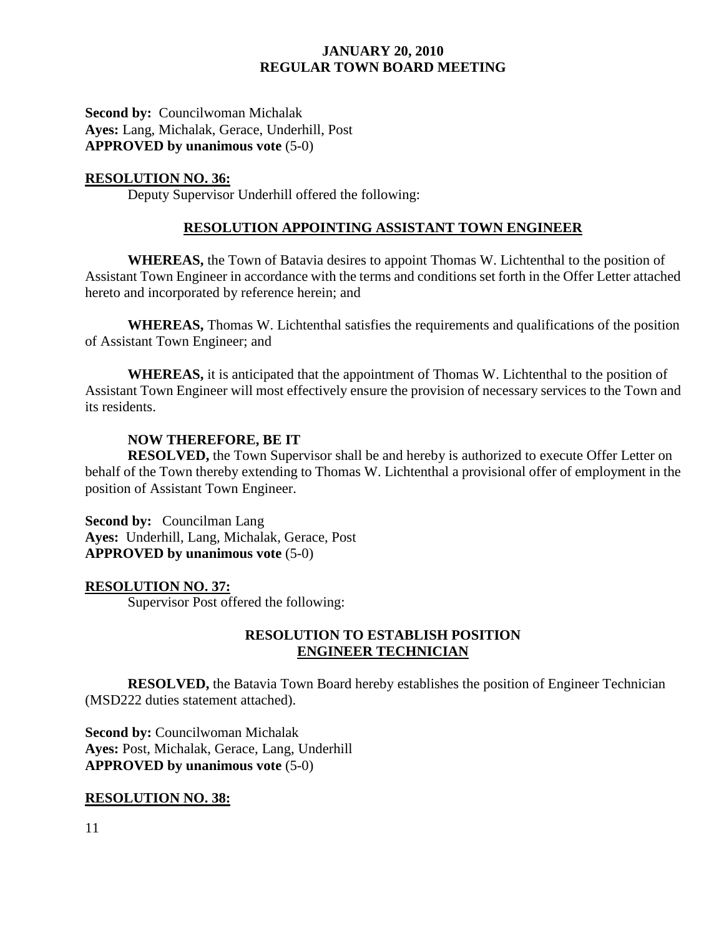**Second by: Councilwoman Michalak Ayes:** Lang, Michalak, Gerace, Underhill, Post **APPROVED by unanimous vote** (5-0)

#### **RESOLUTION NO. 36:**

Deputy Supervisor Underhill offered the following:

## **RESOLUTION APPOINTING ASSISTANT TOWN ENGINEER**

 **WHEREAS,** the Town of Batavia desires to appoint Thomas W. Lichtenthal to the position of Assistant Town Engineer in accordance with the terms and conditions set forth in the Offer Letter attached hereto and incorporated by reference herein; and

**WHEREAS,** Thomas W. Lichtenthal satisfies the requirements and qualifications of the position of Assistant Town Engineer; and

**WHEREAS,** it is anticipated that the appointment of Thomas W. Lichtenthal to the position of Assistant Town Engineer will most effectively ensure the provision of necessary services to the Town and its residents.

### **NOW THEREFORE, BE IT**

**RESOLVED,** the Town Supervisor shall be and hereby is authorized to execute Offer Letter on behalf of the Town thereby extending to Thomas W. Lichtenthal a provisional offer of employment in the position of Assistant Town Engineer.

**Second by:** Councilman Lang **Ayes:** Underhill, Lang, Michalak, Gerace, Post **APPROVED by unanimous vote** (5-0)

#### **RESOLUTION NO. 37:**

Supervisor Post offered the following:

## **RESOLUTION TO ESTABLISH POSITION ENGINEER TECHNICIAN**

 **RESOLVED,** the Batavia Town Board hereby establishes the position of Engineer Technician (MSD222 duties statement attached).

**Second by:** Councilwoman Michalak **Ayes:** Post, Michalak, Gerace, Lang, Underhill **APPROVED by unanimous vote** (5-0)

### **RESOLUTION NO. 38:**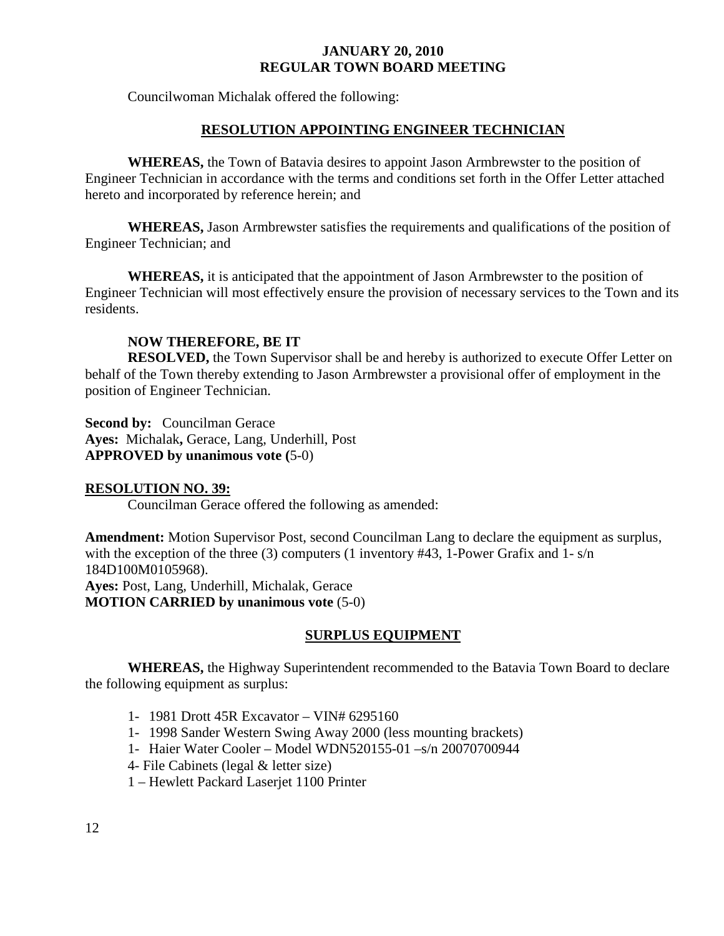Councilwoman Michalak offered the following:

# **RESOLUTION APPOINTING ENGINEER TECHNICIAN**

 **WHEREAS,** the Town of Batavia desires to appoint Jason Armbrewster to the position of Engineer Technician in accordance with the terms and conditions set forth in the Offer Letter attached hereto and incorporated by reference herein; and

**WHEREAS,** Jason Armbrewster satisfies the requirements and qualifications of the position of Engineer Technician; and

**WHEREAS,** it is anticipated that the appointment of Jason Armbrewster to the position of Engineer Technician will most effectively ensure the provision of necessary services to the Town and its residents.

# **NOW THEREFORE, BE IT**

**RESOLVED,** the Town Supervisor shall be and hereby is authorized to execute Offer Letter on behalf of the Town thereby extending to Jason Armbrewster a provisional offer of employment in the position of Engineer Technician.

**Second by: Councilman Gerace Ayes:** Michalak**,** Gerace, Lang, Underhill, Post **APPROVED by unanimous vote (**5-0)

# **RESOLUTION NO. 39:**

Councilman Gerace offered the following as amended:

**Amendment:** Motion Supervisor Post, second Councilman Lang to declare the equipment as surplus, with the exception of the three (3) computers (1 inventory #43, 1-Power Grafix and 1- s/n 184D100M0105968).

**Ayes:** Post, Lang, Underhill, Michalak, Gerace **MOTION CARRIED by unanimous vote** (5-0)

# **SURPLUS EQUIPMENT**

**WHEREAS,** the Highway Superintendent recommended to the Batavia Town Board to declare the following equipment as surplus:

- 1- 1981 Drott 45R Excavator VIN# 6295160
- 1- 1998 Sander Western Swing Away 2000 (less mounting brackets)
- 1- Haier Water Cooler Model WDN520155-01 –s/n 20070700944
- 4- File Cabinets (legal & letter size)
- 1 Hewlett Packard Laserjet 1100 Printer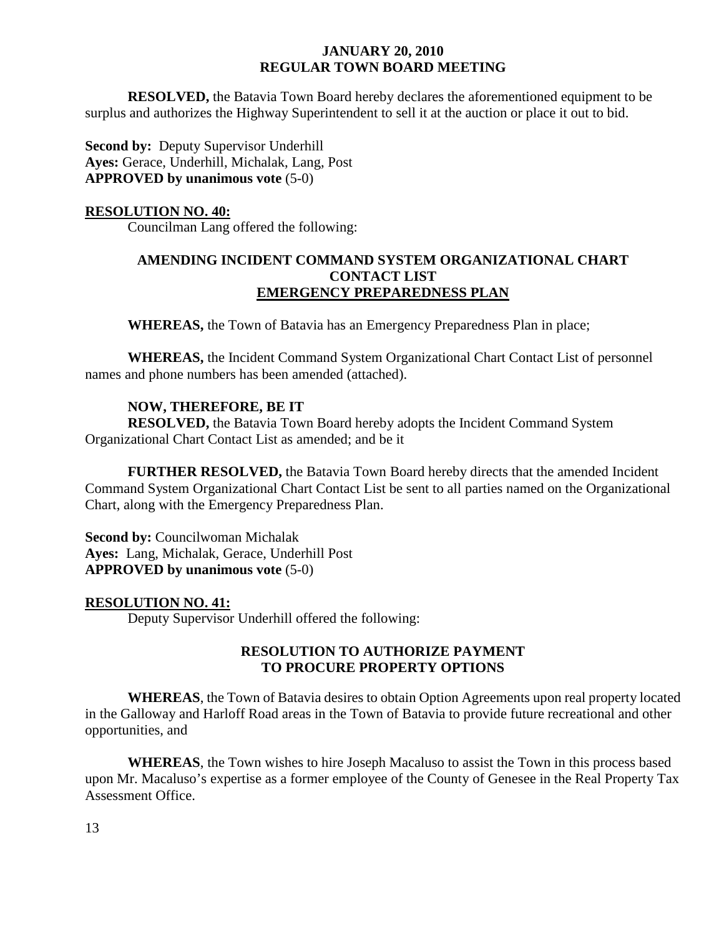**RESOLVED,** the Batavia Town Board hereby declares the aforementioned equipment to be surplus and authorizes the Highway Superintendent to sell it at the auction or place it out to bid.

**Second by:** Deputy Supervisor Underhill **Ayes:** Gerace, Underhill, Michalak, Lang, Post **APPROVED by unanimous vote** (5-0)

#### **RESOLUTION NO. 40:**

Councilman Lang offered the following:

# **AMENDING INCIDENT COMMAND SYSTEM ORGANIZATIONAL CHART CONTACT LIST EMERGENCY PREPAREDNESS PLAN**

 **WHEREAS,** the Town of Batavia has an Emergency Preparedness Plan in place;

**WHEREAS,** the Incident Command System Organizational Chart Contact List of personnel names and phone numbers has been amended (attached).

### **NOW, THEREFORE, BE IT**

**RESOLVED,** the Batavia Town Board hereby adopts the Incident Command System Organizational Chart Contact List as amended; and be it

**FURTHER RESOLVED,** the Batavia Town Board hereby directs that the amended Incident Command System Organizational Chart Contact List be sent to all parties named on the Organizational Chart, along with the Emergency Preparedness Plan.

**Second by: Councilwoman Michalak Ayes:** Lang, Michalak, Gerace, Underhill Post **APPROVED by unanimous vote** (5-0)

### **RESOLUTION NO. 41:**

Deputy Supervisor Underhill offered the following:

## **RESOLUTION TO AUTHORIZE PAYMENT TO PROCURE PROPERTY OPTIONS**

**WHEREAS**, the Town of Batavia desires to obtain Option Agreements upon real property located in the Galloway and Harloff Road areas in the Town of Batavia to provide future recreational and other opportunities, and

**WHEREAS**, the Town wishes to hire Joseph Macaluso to assist the Town in this process based upon Mr. Macaluso's expertise as a former employee of the County of Genesee in the Real Property Tax Assessment Office.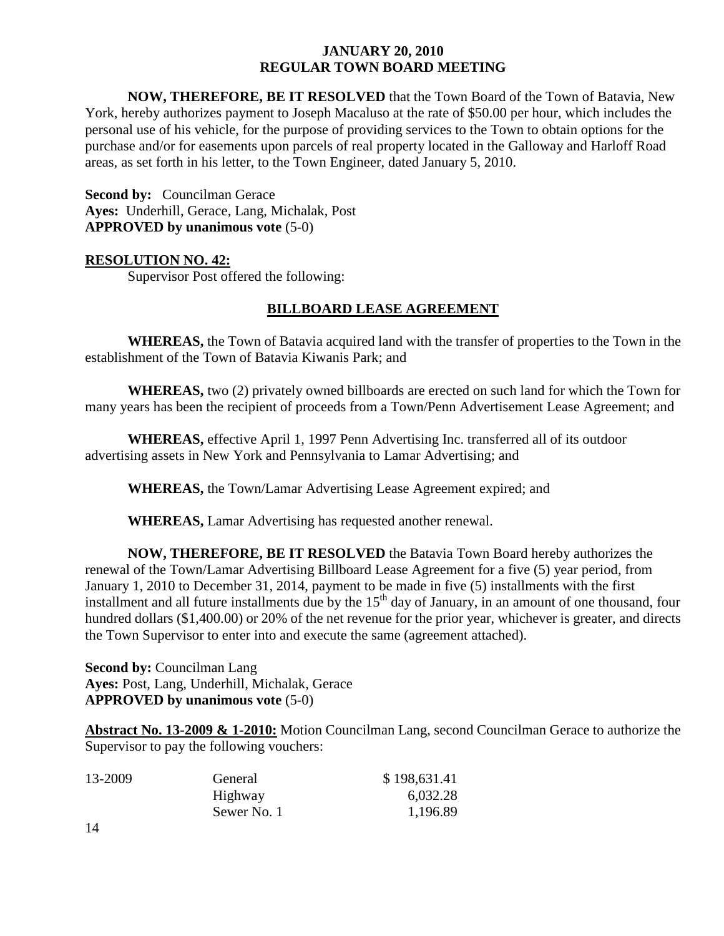**NOW, THEREFORE, BE IT RESOLVED** that the Town Board of the Town of Batavia, New York, hereby authorizes payment to Joseph Macaluso at the rate of \$50.00 per hour, which includes the personal use of his vehicle, for the purpose of providing services to the Town to obtain options for the purchase and/or for easements upon parcels of real property located in the Galloway and Harloff Road areas, as set forth in his letter, to the Town Engineer, dated January 5, 2010.

**Second by:** Councilman Gerace **Ayes:** Underhill, Gerace, Lang, Michalak, Post **APPROVED by unanimous vote** (5-0)

### **RESOLUTION NO. 42:**

Supervisor Post offered the following:

# **BILLBOARD LEASE AGREEMENT**

**WHEREAS,** the Town of Batavia acquired land with the transfer of properties to the Town in the establishment of the Town of Batavia Kiwanis Park; and

**WHEREAS,** two (2) privately owned billboards are erected on such land for which the Town for many years has been the recipient of proceeds from a Town/Penn Advertisement Lease Agreement; and

**WHEREAS,** effective April 1, 1997 Penn Advertising Inc. transferred all of its outdoor advertising assets in New York and Pennsylvania to Lamar Advertising; and

**WHEREAS,** the Town/Lamar Advertising Lease Agreement expired; and

**WHEREAS,** Lamar Advertising has requested another renewal.

**NOW, THEREFORE, BE IT RESOLVED** the Batavia Town Board hereby authorizes the renewal of the Town/Lamar Advertising Billboard Lease Agreement for a five (5) year period, from January 1, 2010 to December 31, 2014, payment to be made in five (5) installments with the first installment and all future installments due by the  $15<sup>th</sup>$  day of January, in an amount of one thousand, four hundred dollars (\$1,400.00) or 20% of the net revenue for the prior year, whichever is greater, and directs the Town Supervisor to enter into and execute the same (agreement attached).

**Second by:** Councilman Lang **Ayes:** Post, Lang, Underhill, Michalak, Gerace **APPROVED by unanimous vote** (5-0)

**Abstract No. 13-2009 & 1-2010:** Motion Councilman Lang, second Councilman Gerace to authorize the Supervisor to pay the following vouchers:

| 13-2009        | General     | \$198,631.41 |
|----------------|-------------|--------------|
|                | Highway     | 6,032.28     |
|                | Sewer No. 1 | 1,196.89     |
| 1 <sub>1</sub> |             |              |

14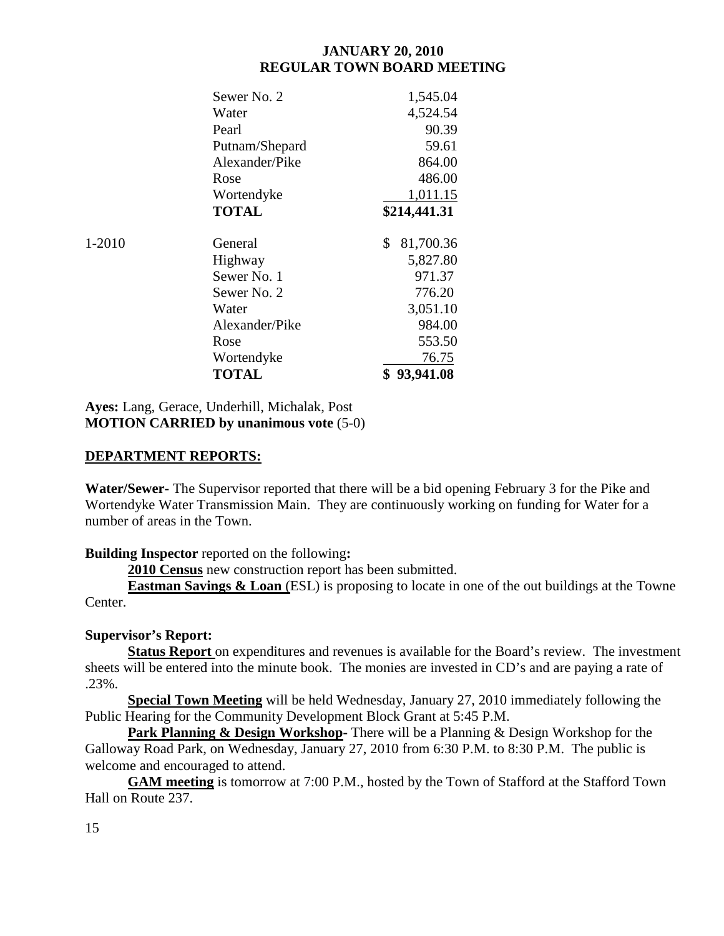|        | Sewer No. 2    | 1,545.04        |
|--------|----------------|-----------------|
|        | Water          | 4,524.54        |
|        | Pearl          | 90.39           |
|        | Putnam/Shepard | 59.61           |
|        | Alexander/Pike | 864.00          |
|        | Rose           | 486.00          |
|        | Wortendyke     | 1,011.15        |
|        | <b>TOTAL</b>   | \$214,441.31    |
| 1-2010 | General        | 81,700.36<br>\$ |
|        | Highway        | 5,827.80        |
|        | Sewer No. 1    | 971.37          |
|        | Sewer No. 2    | 776.20          |
|        | Water          | 3,051.10        |
|        | Alexander/Pike | 984.00          |
|        | Rose           | 553.50          |
|        | Wortendyke     | 76.75           |
|        | <b>TOTAL</b>   | \$93,941.08     |

**Ayes:** Lang, Gerace, Underhill, Michalak, Post **MOTION CARRIED by unanimous vote** (5-0)

## **DEPARTMENT REPORTS:**

**Water/Sewer-** The Supervisor reported that there will be a bid opening February 3 for the Pike and Wortendyke Water Transmission Main. They are continuously working on funding for Water for a number of areas in the Town.

**Building Inspector** reported on the following**:** 

**2010 Census** new construction report has been submitted.

**Eastman Savings & Loan** (ESL) is proposing to locate in one of the out buildings at the Towne Center.

# **Supervisor's Report:**

**Status Report** on expenditures and revenues is available for the Board's review. The investment sheets will be entered into the minute book. The monies are invested in CD's and are paying a rate of .23%.

**Special Town Meeting** will be held Wednesday, January 27, 2010 immediately following the Public Hearing for the Community Development Block Grant at 5:45 P.M.

**Park Planning & Design Workshop-** There will be a Planning & Design Workshop for the Galloway Road Park, on Wednesday, January 27, 2010 from 6:30 P.M. to 8:30 P.M. The public is welcome and encouraged to attend.

**GAM meeting** is tomorrow at 7:00 P.M., hosted by the Town of Stafford at the Stafford Town Hall on Route 237.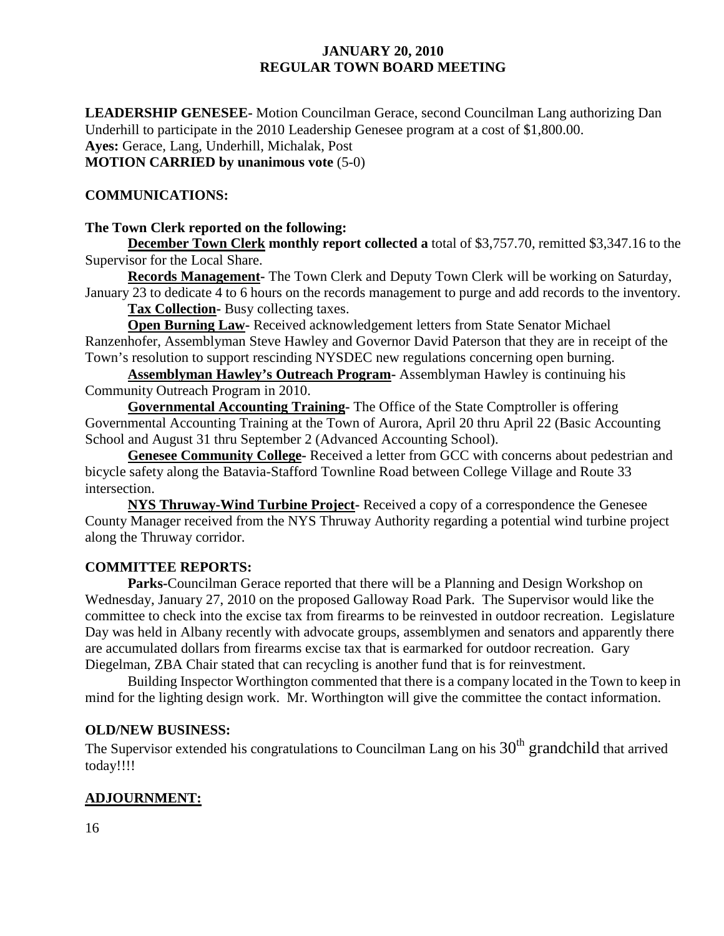**LEADERSHIP GENESEE-** Motion Councilman Gerace, second Councilman Lang authorizing Dan Underhill to participate in the 2010 Leadership Genesee program at a cost of \$1,800.00. **Ayes:** Gerace, Lang, Underhill, Michalak, Post **MOTION CARRIED by unanimous vote** (5-0)

# **COMMUNICATIONS:**

#### **The Town Clerk reported on the following:**

**December Town Clerk monthly report collected a** total of \$3,757.70, remitted \$3,347.16 to the Supervisor for the Local Share.

**Records Management-** The Town Clerk and Deputy Town Clerk will be working on Saturday, January 23 to dedicate 4 to 6 hours on the records management to purge and add records to the inventory.

**Tax Collection-** Busy collecting taxes.

**Open Burning Law-** Received acknowledgement letters from State Senator Michael Ranzenhofer, Assemblyman Steve Hawley and Governor David Paterson that they are in receipt of the Town's resolution to support rescinding NYSDEC new regulations concerning open burning.

**Assemblyman Hawley's Outreach Program-** Assemblyman Hawley is continuing his Community Outreach Program in 2010.

**Governmental Accounting Training-** The Office of the State Comptroller is offering Governmental Accounting Training at the Town of Aurora, April 20 thru April 22 (Basic Accounting School and August 31 thru September 2 (Advanced Accounting School).

**Genesee Community College-** Received a letter from GCC with concerns about pedestrian and bicycle safety along the Batavia-Stafford Townline Road between College Village and Route 33 intersection.

**NYS Thruway-Wind Turbine Project-** Received a copy of a correspondence the Genesee County Manager received from the NYS Thruway Authority regarding a potential wind turbine project along the Thruway corridor.

### **COMMITTEE REPORTS:**

 **Parks-**Councilman Gerace reported that there will be a Planning and Design Workshop on Wednesday, January 27, 2010 on the proposed Galloway Road Park. The Supervisor would like the committee to check into the excise tax from firearms to be reinvested in outdoor recreation. Legislature Day was held in Albany recently with advocate groups, assemblymen and senators and apparently there are accumulated dollars from firearms excise tax that is earmarked for outdoor recreation. Gary Diegelman, ZBA Chair stated that can recycling is another fund that is for reinvestment.

Building Inspector Worthington commented that there is a company located in the Town to keep in mind for the lighting design work. Mr. Worthington will give the committee the contact information.

#### **OLD/NEW BUSINESS:**

The Supervisor extended his congratulations to Councilman Lang on his  $30<sup>th</sup>$  grandchild that arrived today!!!!

# **ADJOURNMENT:**